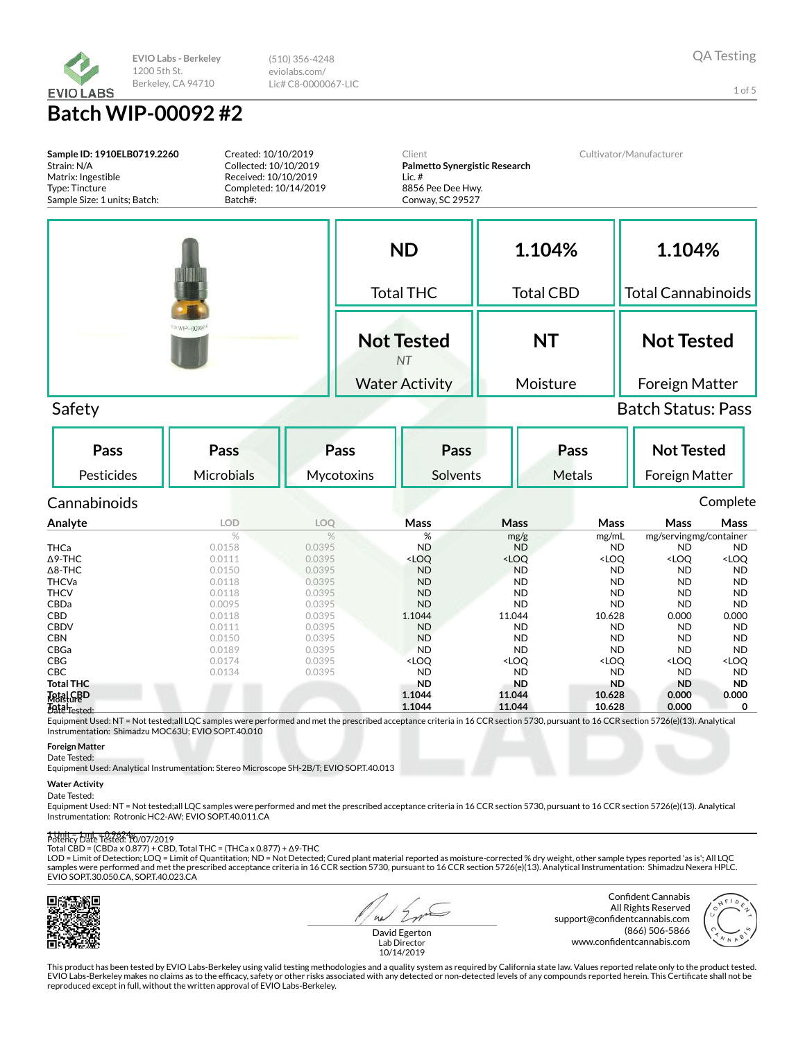

(510) 356-4248 eviolabs.com/ Lic# C8-0000067-LIC

**Batch WIP-00092 #2**

| Sample ID: 1910ELB0719.2260<br>Strain: N/A<br>Matrix: Ingestible<br>Type: Tincture<br>Sample Size: 1 units; Batch: | Created: 10/10/2019<br>Collected: 10/10/2019<br>Received: 10/10/2019<br>Completed: 10/14/2019<br>Batch#: |                                              | Client<br>Lic. $#$<br>8856 Pee Dee Hwy.<br>Conway, SC 29527 | Palmetto Synergistic Research                                 |                                                                | Cultivator/Manufacturer                                                         |                                                       |
|--------------------------------------------------------------------------------------------------------------------|----------------------------------------------------------------------------------------------------------|----------------------------------------------|-------------------------------------------------------------|---------------------------------------------------------------|----------------------------------------------------------------|---------------------------------------------------------------------------------|-------------------------------------------------------|
|                                                                                                                    |                                                                                                          |                                              | <b>ND</b>                                                   |                                                               | 1.104%                                                         | 1.104%                                                                          |                                                       |
|                                                                                                                    |                                                                                                          |                                              | <b>Total THC</b>                                            |                                                               | <b>Total CBD</b>                                               | <b>Total Cannabinoids</b>                                                       |                                                       |
|                                                                                                                    |                                                                                                          |                                              | <b>Not Tested</b><br><b>NT</b>                              |                                                               | <b>NT</b>                                                      | <b>Not Tested</b>                                                               |                                                       |
|                                                                                                                    |                                                                                                          |                                              | <b>Water Activity</b>                                       |                                                               | Moisture                                                       | Foreign Matter                                                                  |                                                       |
| Safety                                                                                                             |                                                                                                          |                                              |                                                             |                                                               |                                                                | <b>Batch Status: Pass</b>                                                       |                                                       |
| Pass<br>Pesticides                                                                                                 | <b>Pass</b><br><b>Microbials</b>                                                                         | Pass<br>Mycotoxins                           | Pass<br>Solvents                                            |                                                               | Pass<br><b>Metals</b>                                          | <b>Not Tested</b><br>Foreign Matter                                             |                                                       |
| Cannabinoids                                                                                                       |                                                                                                          |                                              |                                                             |                                                               |                                                                |                                                                                 | Complete                                              |
| Analyte                                                                                                            | LOD                                                                                                      | LOO                                          | Mass                                                        | <b>Mass</b>                                                   | Mass                                                           | Mass                                                                            | Mass                                                  |
| <b>THCa</b><br>$\Delta$ 9-THC<br>$\Delta$ 8-THC<br><b>THCVa</b>                                                    | $\%$<br>0.0158<br>0.0111<br>0.0150<br>0.0118                                                             | $\%$<br>0.0395<br>0.0395<br>0.0395<br>0.0395 | %<br><b>ND</b><br><loq<br><b>ND</b><br/><b>ND</b></loq<br>  | mg/g<br><b>ND</b><br><loq<br><b>ND</b><br/><b>ND</b></loq<br> | mg/mL<br><b>ND</b><br><loq<br><b>ND</b><br/><b>ND</b></loq<br> | mg/servingmg/container<br><b>ND</b><br><loq<br><b>ND</b><br/><b>ND</b></loq<br> | <b>ND</b><br><loq<br><b>ND</b><br/><b>ND</b></loq<br> |
| <b>THCV</b>                                                                                                        | 0.0118                                                                                                   | 0.0395                                       | <b>ND</b>                                                   | <b>ND</b>                                                     | <b>ND</b>                                                      | <b>ND</b>                                                                       | <b>ND</b>                                             |

| THCV            | 0.0118 | 0.0395 | ND                                                                                                                                  | ND                                                                                                      | ND.                                                                         | ND                                              | ND.                 |
|-----------------|--------|--------|-------------------------------------------------------------------------------------------------------------------------------------|---------------------------------------------------------------------------------------------------------|-----------------------------------------------------------------------------|-------------------------------------------------|---------------------|
| CBDa            | 0.0095 | 0.0395 | <b>ND</b>                                                                                                                           | <b>ND</b>                                                                                               | <b>ND</b>                                                                   | <b>ND</b>                                       | <b>ND</b>           |
| CBD             | 0.0118 | 0.0395 | 1.1044                                                                                                                              | 11.044                                                                                                  | 10.628                                                                      | 0.000                                           | 0.000               |
| <b>CBDV</b>     | 0.0111 | 0.0395 | <b>ND</b>                                                                                                                           | <b>ND</b>                                                                                               | <b>ND</b>                                                                   | <b>ND</b>                                       | <b>ND</b>           |
| CBN             | 0.0150 | 0.0395 | <b>ND</b>                                                                                                                           | <b>ND</b>                                                                                               | <b>ND</b>                                                                   | <b>ND</b>                                       | <b>ND</b>           |
| CBGa            | 0.0189 | 0.0395 | <b>ND</b>                                                                                                                           | <b>ND</b>                                                                                               | <b>ND</b>                                                                   | <b>ND</b>                                       | <b>ND</b>           |
| CBG             | 0.0174 | 0.0395 | <loq< td=""><td><loq< td=""><td><loq< td=""><td><loq< td=""><td><loq< td=""></loq<></td></loq<></td></loq<></td></loq<></td></loq<> | <loq< td=""><td><loq< td=""><td><loq< td=""><td><loq< td=""></loq<></td></loq<></td></loq<></td></loq<> | <loq< td=""><td><loq< td=""><td><loq< td=""></loq<></td></loq<></td></loq<> | <loq< td=""><td><loq< td=""></loq<></td></loq<> | <loq< td=""></loq<> |
| CBC             | 0.0134 | 0.0395 | <b>ND</b>                                                                                                                           | <b>ND</b>                                                                                               | <b>ND</b>                                                                   | <b>ND</b>                                       | <b>ND</b>           |
| Total THC       |        |        | ND.                                                                                                                                 | <b>ND</b>                                                                                               | <b>ND</b>                                                                   | <b>ND</b>                                       | <b>ND</b>           |
| <b>TetalGBD</b> |        |        | 1.1044                                                                                                                              | 11.044                                                                                                  | 10.628                                                                      | 0.000                                           | 0.000               |
|                 |        |        |                                                                                                                                     |                                                                                                         |                                                                             |                                                 |                     |

**Total 1.1044 11.044 10.628 0.000 0** Date Tested:

Equipment Used: NT = Not tested;all LQC samples were performed and met the prescribed acceptance criteria in 16 CCR section 5730, pursuant to 16 CCR section 5726(e)(13). Analytical Instrumentation: Shimadzu MOC63U; EVIO SOP.T.40.010

**Foreign Matter**

Date Tested:

Equipment Used: Analytical Instrumentation: Stereo Microscope SH-2B/T; EVIO SOP.T.40.013

#### **Water Activity**

Date Tested:

Equipment Used: NT = Not tested;all LQC samples were performed and met the prescribed acceptance criteria in 16 CCR section 5730, pursuant to 16 CCR section 5726(e)(13). Analytical Instrumentation: Rotronic HC2-AW; EVIO SOP.T.40.011.CA

#### 1 Unit = 1 mL = 0.9624g Potency Date Tested: 10/07/2019

Total CBD = (CBDa x 0.877) + CBD, Total THC = (THCa x 0.877) +  $\Delta$ 9-THC

LOD = Limit of Detection; LOQ = Limit of Quantitation; ND = Not Detected; Cured plant material reported as moisture-corrected % dry weight, other sample types reported 'as is'; All LQC<br>samples were performed and met the pr EVIO SOP.T.30.050.CA, SOP.T.40.023.CA



 $41$ 

Confident Cannabis All Rights Reserved support@confidentcannabis.com (866) 506-5866 www.confidentcannabis.com



David Egerton Lab Director 10/14/2019

This product has been tested by EVIO Labs-Berkeley using valid testing methodologies and a quality system as required by California state law. Values reported relate only to the product tested. EVIO Labs-Berkeley makes no claims as to the efficacy, safety or other risks associated with any detected or non-detected levels of any compounds reported herein. This Certificate shall not be<br>reproduced except in full, wi

1 of 5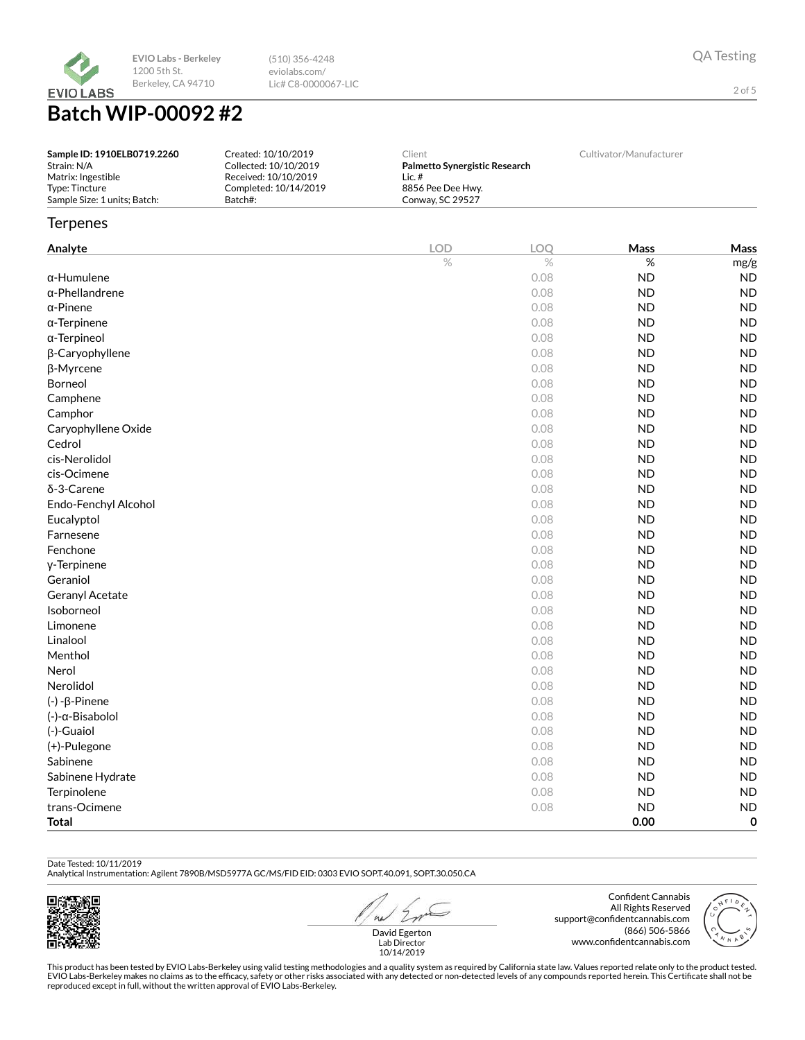

**Batch WIP-00092 #2**

| Sample ID: 1910ELB0719.2260  | Created: 10/10/2019   | Client                        | Cultivator/Manufacturer |
|------------------------------|-----------------------|-------------------------------|-------------------------|
| Strain: N/A                  | Collected: 10/10/2019 | Palmetto Synergistic Research |                         |
| Matrix: Ingestible           | Received: 10/10/2019  | Lic.#                         |                         |
| Type: Tincture               | Completed: 10/14/2019 | 8856 Pee Dee Hwy.             |                         |
| Sample Size: 1 units; Batch: | Batch#:               | Conway, SC 29527              |                         |

(510) 356-4248 eviolabs.com/ Lic# C8-0000067-LIC

## **Terpenes**

| Analyte                | <b>LOD</b> | LOQ  | Mass      | Mass      |
|------------------------|------------|------|-----------|-----------|
|                        | $\%$       | $\%$ | $\%$      | mg/g      |
| $\alpha$ -Humulene     |            | 0.08 | <b>ND</b> | <b>ND</b> |
| $\alpha$ -Phellandrene |            | 0.08 | <b>ND</b> | <b>ND</b> |
| $\alpha$ -Pinene       |            | 0.08 | <b>ND</b> | <b>ND</b> |
| $\alpha$ -Terpinene    |            | 0.08 | <b>ND</b> | <b>ND</b> |
| α-Terpineol            |            | 0.08 | <b>ND</b> | <b>ND</b> |
| β-Caryophyllene        |            | 0.08 | ND        | <b>ND</b> |
| β-Myrcene              |            | 0.08 | <b>ND</b> | <b>ND</b> |
| Borneol                |            | 0.08 | <b>ND</b> | <b>ND</b> |
| Camphene               |            | 0.08 | <b>ND</b> | <b>ND</b> |
| Camphor                |            | 0.08 | <b>ND</b> | <b>ND</b> |
| Caryophyllene Oxide    |            | 0.08 | <b>ND</b> | <b>ND</b> |
| Cedrol                 |            | 0.08 | <b>ND</b> | <b>ND</b> |
| cis-Nerolidol          |            | 0.08 | <b>ND</b> | <b>ND</b> |
| cis-Ocimene            |            | 0.08 | <b>ND</b> | <b>ND</b> |
| δ-3-Carene             |            | 0.08 | <b>ND</b> | <b>ND</b> |
| Endo-Fenchyl Alcohol   |            | 0.08 | <b>ND</b> | <b>ND</b> |
| Eucalyptol             |            | 0.08 | <b>ND</b> | <b>ND</b> |
| Farnesene              |            | 0.08 | <b>ND</b> | <b>ND</b> |
| Fenchone               |            | 0.08 | <b>ND</b> | <b>ND</b> |
| y-Terpinene            |            | 0.08 | <b>ND</b> | <b>ND</b> |
| Geraniol               |            | 0.08 | <b>ND</b> | <b>ND</b> |
| Geranyl Acetate        |            | 0.08 | <b>ND</b> | <b>ND</b> |
| Isoborneol             |            | 0.08 | <b>ND</b> | <b>ND</b> |
| Limonene               |            | 0.08 | <b>ND</b> | <b>ND</b> |
| Linalool               |            | 0.08 | <b>ND</b> | <b>ND</b> |
| Menthol                |            | 0.08 | <b>ND</b> | <b>ND</b> |
| Nerol                  |            | 0.08 | <b>ND</b> | <b>ND</b> |
| Nerolidol              |            | 0.08 | <b>ND</b> | <b>ND</b> |
| $(-) - \beta$ -Pinene  |            | 0.08 | <b>ND</b> | <b>ND</b> |
| (-)-α-Bisabolol        |            | 0.08 | <b>ND</b> | <b>ND</b> |
| (-)-Guaiol             |            | 0.08 | <b>ND</b> | <b>ND</b> |
| (+)-Pulegone           |            | 0.08 | <b>ND</b> | <b>ND</b> |
| Sabinene               |            | 0.08 | <b>ND</b> | <b>ND</b> |
| Sabinene Hydrate       |            | 0.08 | <b>ND</b> | <b>ND</b> |
| Terpinolene            |            | 0.08 | <b>ND</b> | <b>ND</b> |
| trans-Ocimene          |            | 0.08 | <b>ND</b> | <b>ND</b> |
| <b>Total</b>           |            |      | 0.00      | 0         |

## Date Tested: 10/11/2019

Analytical Instrumentation: Agilent 7890B/MSD5977A GC/MS/FID EID: 0303 EVIO SOP.T.40.091, SOP.T.30.050.CA



 $41$ David Egerton

Confident Cannabis All Rights Reserved support@confidentcannabis.com (866) 506-5866 www.confidentcannabis.com



QA Testing

2 of 5

This product has been tested by EVIO Labs-Berkeley using valid testing methodologies and a quality system as required by California state law. Values reported relate only to the product tested.<br>EVIO Labs-Berkeley makes no Lab Director 10/14/2019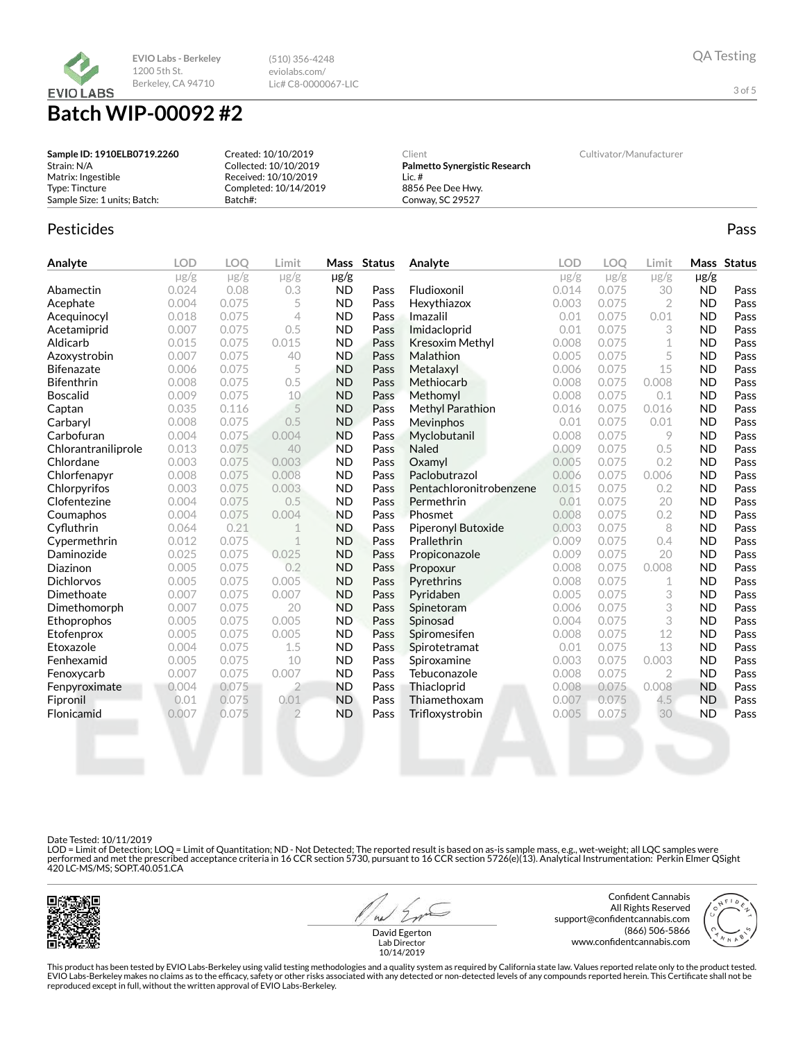

## **Batch WIP-00092 #2**

| Sample ID: 1910ELB0719.2260  | Created: 10/10/2019   | Client                        | Cultivator/Manufacturer |
|------------------------------|-----------------------|-------------------------------|-------------------------|
| Strain: N/A                  | Collected: 10/10/2019 | Palmetto Synergistic Research |                         |
| Matrix: Ingestible           | Received: 10/10/2019  | Lic. #                        |                         |
| Type: Tincture               | Completed: 10/14/2019 | 8856 Pee Dee Hwy.             |                         |
| Sample Size: 1 units; Batch: | Batch#:               | Conway, SC 29527              |                         |

(510) 356-4248 eviolabs.com/ Lic# C8-0000067-LIC

## Pesticides **Passage Community Community Community** Passes and the extension of the extension of the extension of the extension of the extension of the extension of the extension of the extension of the extension of the ext

| Analyte             | <b>LOD</b> | <b>LOO</b> | Limit          | <b>Mass</b> | <b>Status</b> | Analyte                 | <b>LOD</b> | LOO       | Limit     |           | Mass Status |
|---------------------|------------|------------|----------------|-------------|---------------|-------------------------|------------|-----------|-----------|-----------|-------------|
|                     | $\mu$ g/g  | $\mu$ g/g  | $\mu$ g/g      | $\mu$ g/g   |               |                         | $\mu$ g/g  | $\mu$ g/g | $\mu$ g/g | $\mu$ g/g |             |
| Abamectin           | 0.024      | 0.08       | 0.3            | <b>ND</b>   | Pass          | Fludioxonil             | 0.014      | 0.075     | 30        | <b>ND</b> | Pass        |
| Acephate            | 0.004      | 0.075      | 5              | <b>ND</b>   | Pass          | Hexythiazox             | 0.003      | 0.075     | 2         | <b>ND</b> | Pass        |
| Acequinocyl         | 0.018      | 0.075      | 4              | <b>ND</b>   | Pass          | Imazalil                | 0.01       | 0.075     | 0.01      | <b>ND</b> | Pass        |
| Acetamiprid         | 0.007      | 0.075      | 0.5            | <b>ND</b>   | Pass          | Imidacloprid            | 0.01       | 0.075     | 3         | <b>ND</b> | Pass        |
| Aldicarb            | 0.015      | 0.075      | 0.015          | <b>ND</b>   | Pass          | <b>Kresoxim Methyl</b>  | 0.008      | 0.075     | 1         | <b>ND</b> | Pass        |
| Azoxystrobin        | 0.007      | 0.075      | 40             | <b>ND</b>   | Pass          | Malathion               | 0.005      | 0.075     | 5         | <b>ND</b> | Pass        |
| <b>Bifenazate</b>   | 0.006      | 0.075      | 5              | <b>ND</b>   | Pass          | Metalaxyl               | 0.006      | 0.075     | 15        | <b>ND</b> | Pass        |
| <b>Bifenthrin</b>   | 0.008      | 0.075      | 0.5            | <b>ND</b>   | Pass          | Methiocarb              | 0.008      | 0.075     | 0.008     | <b>ND</b> | Pass        |
| <b>Boscalid</b>     | 0.009      | 0.075      | 10             | <b>ND</b>   | Pass          | Methomyl                | 0.008      | 0.075     | 0.1       | <b>ND</b> | Pass        |
| Captan              | 0.035      | 0.116      | 5              | <b>ND</b>   | Pass          | <b>Methyl Parathion</b> | 0.016      | 0.075     | 0.016     | <b>ND</b> | Pass        |
| Carbaryl            | 0.008      | 0.075      | 0.5            | <b>ND</b>   | Pass          | Mevinphos               | 0.01       | 0.075     | 0.01      | <b>ND</b> | Pass        |
| Carbofuran          | 0.004      | 0.075      | 0.004          | <b>ND</b>   | Pass          | Myclobutanil            | 0.008      | 0.075     | 9         | <b>ND</b> | Pass        |
| Chlorantraniliprole | 0.013      | 0.075      | 40             | <b>ND</b>   | Pass          | Naled                   | 0.009      | 0.075     | 0.5       | <b>ND</b> | Pass        |
| Chlordane           | 0.003      | 0.075      | 0.003          | <b>ND</b>   | Pass          | Oxamyl                  | 0.005      | 0.075     | 0.2       | <b>ND</b> | Pass        |
| Chlorfenapyr        | 0.008      | 0.075      | 0.008          | <b>ND</b>   | Pass          | Paclobutrazol           | 0.006      | 0.075     | 0.006     | <b>ND</b> | Pass        |
| Chlorpyrifos        | 0.003      | 0.075      | 0.003          | <b>ND</b>   | Pass          | Pentachloronitrobenzene | 0.015      | 0.075     | 0.2       | <b>ND</b> | Pass        |
| Clofentezine        | 0.004      | 0.075      | 0.5            | <b>ND</b>   | Pass          | Permethrin              | 0.01       | 0.075     | 20        | <b>ND</b> | Pass        |
| Coumaphos           | 0.004      | 0.075      | 0.004          | <b>ND</b>   | Pass          | Phosmet                 | 0.008      | 0.075     | 0.2       | <b>ND</b> | Pass        |
| Cyfluthrin          | 0.064      | 0.21       | $\mathbf 1$    | <b>ND</b>   | Pass          | Piperonyl Butoxide      | 0.003      | 0.075     | 8         | <b>ND</b> | Pass        |
| Cypermethrin        | 0.012      | 0.075      | 1              | <b>ND</b>   | Pass          | Prallethrin             | 0.009      | 0.075     | 0.4       | <b>ND</b> | Pass        |
| Daminozide          | 0.025      | 0.075      | 0.025          | <b>ND</b>   | Pass          | Propiconazole           | 0.009      | 0.075     | 20        | <b>ND</b> | Pass        |
| Diazinon            | 0.005      | 0.075      | 0.2            | <b>ND</b>   | Pass          | Propoxur                | 0.008      | 0.075     | 0.008     | <b>ND</b> | Pass        |
| <b>Dichlorvos</b>   | 0.005      | 0.075      | 0.005          | <b>ND</b>   | Pass          | Pyrethrins              | 0.008      | 0.075     | 1         | <b>ND</b> | Pass        |
| Dimethoate          | 0.007      | 0.075      | 0.007          | <b>ND</b>   | Pass          | Pyridaben               | 0.005      | 0.075     | 3         | <b>ND</b> | Pass        |
| Dimethomorph        | 0.007      | 0.075      | 20             | <b>ND</b>   | Pass          | Spinetoram              | 0.006      | 0.075     | 3         | <b>ND</b> | Pass        |
| Ethoprophos         | 0.005      | 0.075      | 0.005          | <b>ND</b>   | Pass          | Spinosad                | 0.004      | 0.075     | 3         | <b>ND</b> | Pass        |
| Etofenprox          | 0.005      | 0.075      | 0.005          | <b>ND</b>   | Pass          | Spiromesifen            | 0.008      | 0.075     | 12        | <b>ND</b> | Pass        |
| Etoxazole           | 0.004      | 0.075      | 1.5            | <b>ND</b>   | Pass          | Spirotetramat           | 0.01       | 0.075     | 13        | <b>ND</b> | Pass        |
| Fenhexamid          | 0.005      | 0.075      | 10             | <b>ND</b>   | Pass          | Spiroxamine             | 0.003      | 0.075     | 0.003     | <b>ND</b> | Pass        |
| Fenoxycarb          | 0.007      | 0.075      | 0.007          | <b>ND</b>   | Pass          | Tebuconazole            | 0.008      | 0.075     | 2         | <b>ND</b> | Pass        |
| Fenpyroximate       | 0.004      | 0.075      | $\overline{2}$ | <b>ND</b>   | Pass          | Thiacloprid             | 0.008      | 0.075     | 0.008     | <b>ND</b> | Pass        |
| Fipronil            | 0.01       | 0.075      | 0.01           | <b>ND</b>   | Pass          | Thiamethoxam            | 0.007      | 0.075     | 4.5       | <b>ND</b> | Pass        |
| Flonicamid          | 0.007      | 0.075      | $\overline{2}$ | <b>ND</b>   | Pass          | Trifloxystrobin         | 0.005      | 0.075     | 30        | <b>ND</b> | Pass        |
|                     |            |            |                |             |               |                         |            |           |           |           |             |

Date Tested: 10/11/2019

LOD = Limit of Detection; LOQ = Limit of Quantitation; ND - Not Detected; The reported result is based on as-is sample mass, e.g., wet-weight; all LQC samples were<br>performed and met the prescribed acceptance criteria in 16



 $41$ 

Confident Cannabis All Rights Reserved support@confidentcannabis.com (866) 506-5866 www.confidentcannabis.com



David Egerton Lab Director 10/14/2019

QA Testing

3 of 5

This product has been tested by EVIO Labs-Berkeley using valid testing methodologies and a quality system as required by California state law. Values reported relate only to the product tested. EVIO Labs-Berkeley makes no claims as to the efficacy, safety or other risks associated with any detected or non-detected levels of any compounds reported herein. This Certificate shall not be<br>reproduced except in full, wi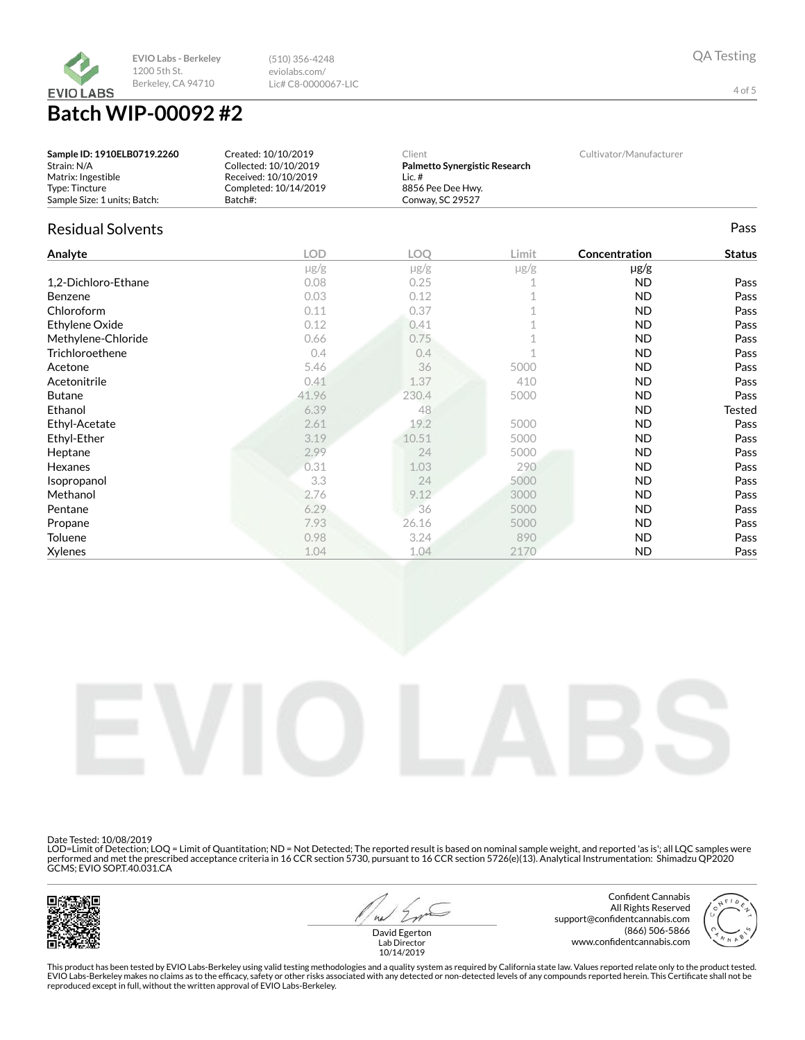

eviolabs.com/ Lic# C8-0000067-LIC

(510) 356-4248

# **Batch WIP-00092 #2**

| Sample ID: 1910ELB0719.2260  | Created: 10/10/2019   | Client                        | Cultivator/Manufacturer |
|------------------------------|-----------------------|-------------------------------|-------------------------|
| Strain: N/A                  | Collected: 10/10/2019 | Palmetto Synergistic Research |                         |
| Matrix: Ingestible           | Received: 10/10/2019  | Lic. #                        |                         |
| Type: Tincture               | Completed: 10/14/2019 | 8856 Pee Dee Hwv.             |                         |
| Sample Size: 1 units: Batch: | Batch#:               | Conway, SC 29527              |                         |

## Residual Solvents Pass

| Analyte             | <b>LOD</b> | <b>LOO</b> | Limit     | Concentration | <b>Status</b> |
|---------------------|------------|------------|-----------|---------------|---------------|
|                     | $\mu$ g/g  | $\mu$ g/g  | $\mu$ g/g | $\mu$ g/g     |               |
| 1,2-Dichloro-Ethane | 0.08       | 0.25       |           | <b>ND</b>     | Pass          |
| <b>Benzene</b>      | 0.03       | 0.12       |           | <b>ND</b>     | Pass          |
| Chloroform          | 0.11       | 0.37       |           | <b>ND</b>     | Pass          |
| Ethylene Oxide      | 0.12       | 0.41       |           | <b>ND</b>     | Pass          |
| Methylene-Chloride  | 0.66       | 0.75       |           | ND            | Pass          |
| Trichloroethene     | 0.4        | 0.4        |           | <b>ND</b>     | Pass          |
| Acetone             | 5.46       | 36         | 5000      | <b>ND</b>     | Pass          |
| Acetonitrile        | 0.41       | 1.37       | 410       | ND.           | Pass          |
| <b>Butane</b>       | 41.96      | 230.4      | 5000      | <b>ND</b>     | Pass          |
| Ethanol             | 6.39       | 48         |           | <b>ND</b>     | Tested        |
| Ethyl-Acetate       | 2.61       | 19.2       | 5000      | ND            | Pass          |
| Ethyl-Ether         | 3.19       | 10.51      | 5000      | <b>ND</b>     | Pass          |
| Heptane             | 2.99       | 24         | 5000      | <b>ND</b>     | Pass          |
| Hexanes             | 0.31       | 1.03       | 290       | ND            | Pass          |
| Isopropanol         | 3.3        | 24         | 5000      | ND            | Pass          |
| Methanol            | 2.76       | 9.12       | 3000      | <b>ND</b>     | Pass          |
| Pentane             | 6.29       | 36         | 5000      | <b>ND</b>     | Pass          |
| Propane             | 7.93       | 26.16      | 5000      | ND            | Pass          |
| Toluene             | 0.98       | 3.24       | 890       | ND            | Pass          |
| Xylenes             | 1.04       | 1.04       | 2170      | <b>ND</b>     | Pass          |



Date Tested: 10/08/2019

LOD=Limit of Detection; LOQ = Limit of Quantitation; ND = Not Detected; The reported result is based on nominal sample weight, and reported 'as is'; all LQC samples were<br>performed and met the prescribed acceptance criteria



 $41$ 

Confident Cannabis All Rights Reserved support@confidentcannabis.com (866) 506-5866 www.confidentcannabis.com



David Egerton Lab Director 10/14/2019

This product has been tested by EVIO Labs-Berkeley using valid testing methodologies and a quality system as required by California state law. Values reported relate only to the product tested. EVIO Labs-Berkeley makes no claims as to the efficacy, safety or other risks associated with any detected or non-detected levels of any compounds reported herein. This Certificate shall not be<br>reproduced except in full, wi